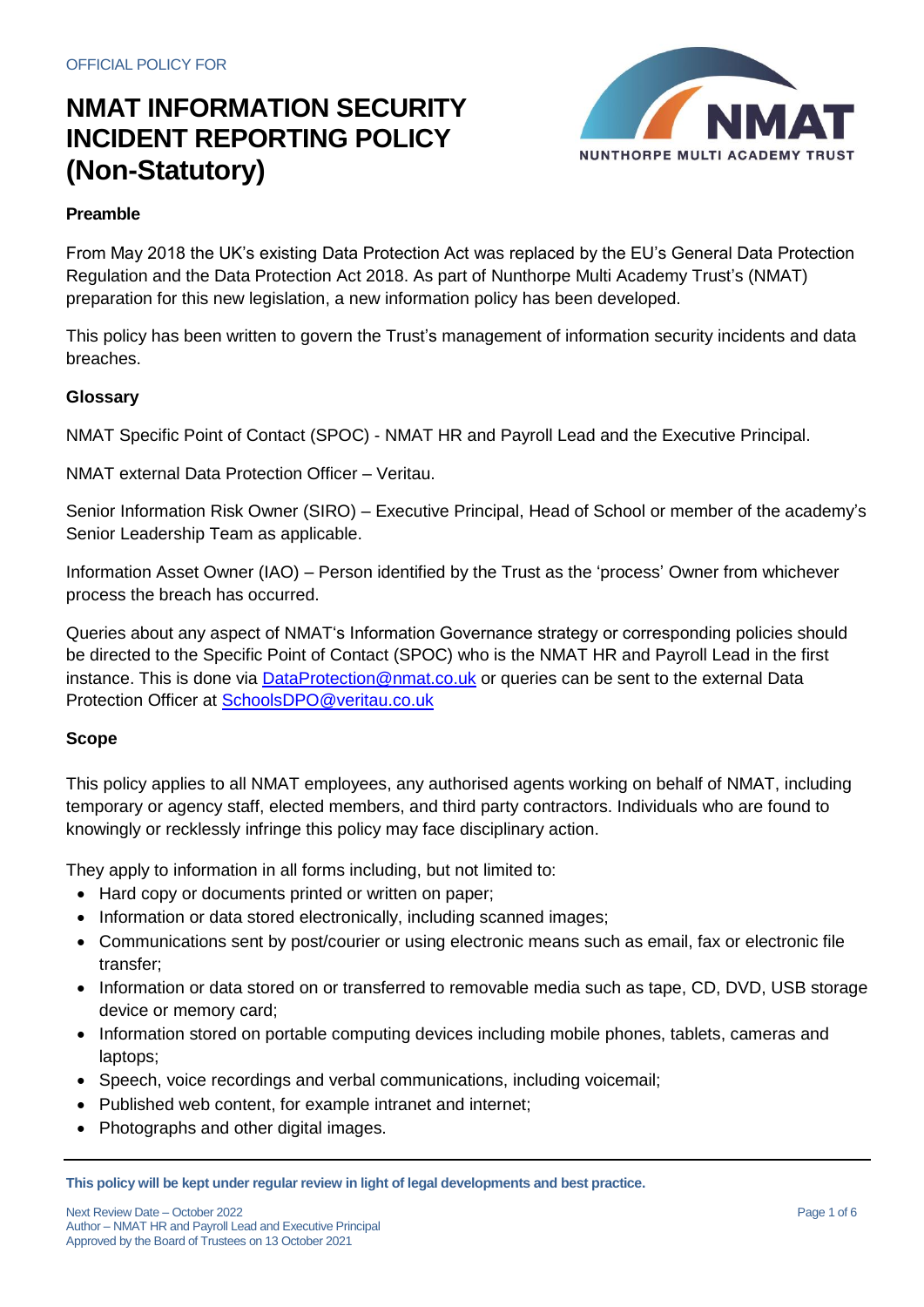

#### **Preamble**

From May 2018 the UK's existing Data Protection Act was replaced by the EU's General Data Protection Regulation and the Data Protection Act 2018. As part of Nunthorpe Multi Academy Trust's (NMAT) preparation for this new legislation, a new information policy has been developed.

This policy has been written to govern the Trust's management of information security incidents and data breaches.

#### **Glossary**

NMAT Specific Point of Contact (SPOC) - NMAT HR and Payroll Lead and the Executive Principal.

NMAT external Data Protection Officer – Veritau.

Senior Information Risk Owner (SIRO) – Executive Principal, Head of School or member of the academy's Senior Leadership Team as applicable.

Information Asset Owner (IAO) – Person identified by the Trust as the 'process' Owner from whichever process the breach has occurred.

Queries about any aspect of NMAT's Information Governance strategy or corresponding policies should be directed to the Specific Point of Contact (SPOC) who is the NMAT HR and Payroll Lead in the first instance. This is done via [DataProtection@nmat.co.uk](mailto:DataProtection@nmat.co.uk) or queries can be sent to the external Data Protection Officer at [SchoolsDPO@veritau.co.uk](mailto:SchoolsDPO@veritau.co.uk)

#### **Scope**

This policy applies to all NMAT employees, any authorised agents working on behalf of NMAT, including temporary or agency staff, elected members, and third party contractors. Individuals who are found to knowingly or recklessly infringe this policy may face disciplinary action.

They apply to information in all forms including, but not limited to:

- Hard copy or documents printed or written on paper;
- Information or data stored electronically, including scanned images;
- Communications sent by post/courier or using electronic means such as email, fax or electronic file transfer;
- Information or data stored on or transferred to removable media such as tape, CD, DVD, USB storage device or memory card;
- Information stored on portable computing devices including mobile phones, tablets, cameras and laptops;
- Speech, voice recordings and verbal communications, including voicemail;
- Published web content, for example intranet and internet;
- Photographs and other digital images.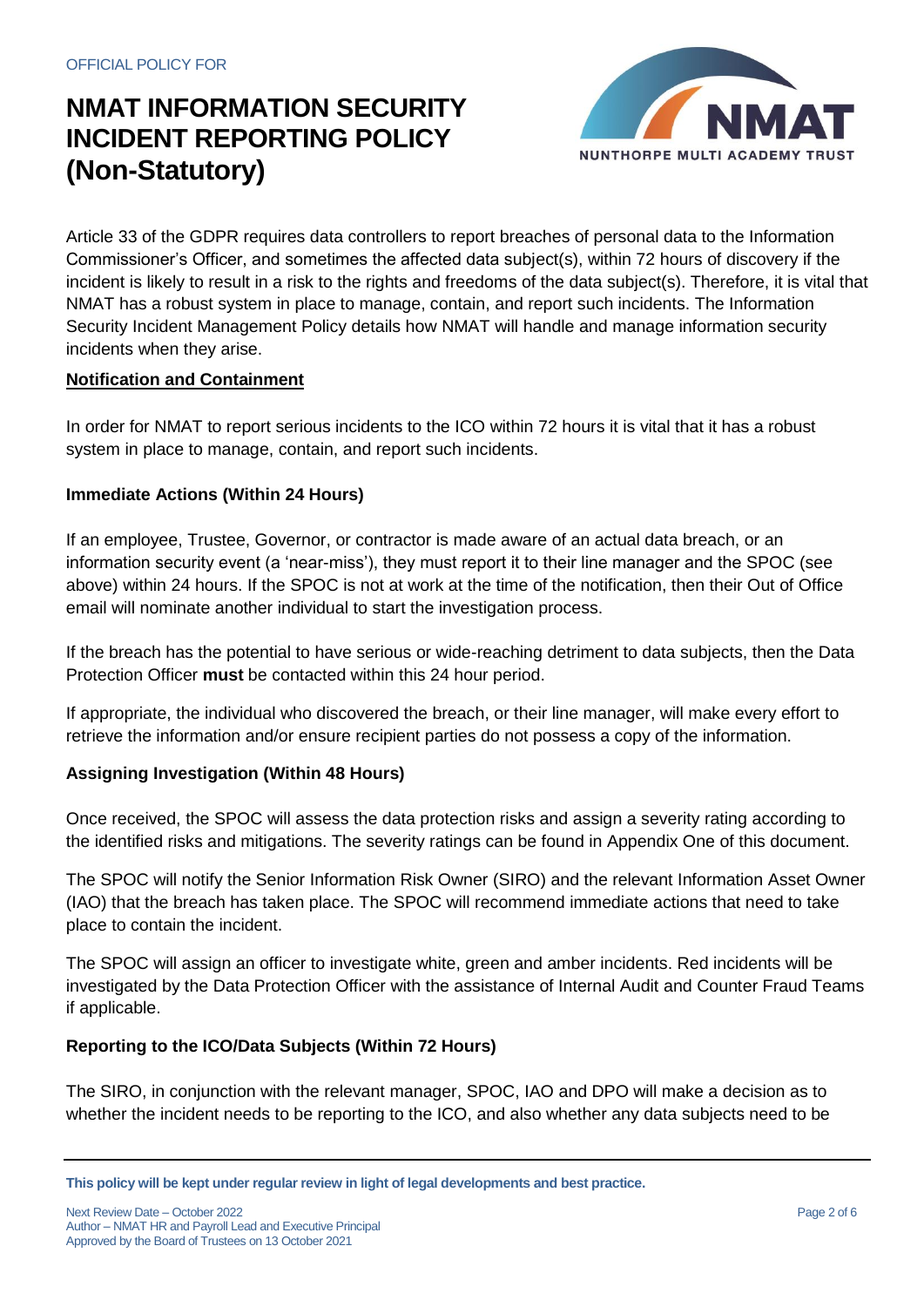

Article 33 of the GDPR requires data controllers to report breaches of personal data to the Information Commissioner's Officer, and sometimes the affected data subject(s), within 72 hours of discovery if the incident is likely to result in a risk to the rights and freedoms of the data subject(s). Therefore, it is vital that NMAT has a robust system in place to manage, contain, and report such incidents. The Information Security Incident Management Policy details how NMAT will handle and manage information security incidents when they arise.

#### **Notification and Containment**

In order for NMAT to report serious incidents to the ICO within 72 hours it is vital that it has a robust system in place to manage, contain, and report such incidents.

### **Immediate Actions (Within 24 Hours)**

If an employee, Trustee, Governor, or contractor is made aware of an actual data breach, or an information security event (a 'near-miss'), they must report it to their line manager and the SPOC (see above) within 24 hours. If the SPOC is not at work at the time of the notification, then their Out of Office email will nominate another individual to start the investigation process.

If the breach has the potential to have serious or wide-reaching detriment to data subjects, then the Data Protection Officer **must** be contacted within this 24 hour period.

If appropriate, the individual who discovered the breach, or their line manager, will make every effort to retrieve the information and/or ensure recipient parties do not possess a copy of the information.

#### **Assigning Investigation (Within 48 Hours)**

Once received, the SPOC will assess the data protection risks and assign a severity rating according to the identified risks and mitigations. The severity ratings can be found in Appendix One of this document.

The SPOC will notify the Senior Information Risk Owner (SIRO) and the relevant Information Asset Owner (IAO) that the breach has taken place. The SPOC will recommend immediate actions that need to take place to contain the incident.

The SPOC will assign an officer to investigate white, green and amber incidents. Red incidents will be investigated by the Data Protection Officer with the assistance of Internal Audit and Counter Fraud Teams if applicable.

#### **Reporting to the ICO/Data Subjects (Within 72 Hours)**

The SIRO, in conjunction with the relevant manager, SPOC, IAO and DPO will make a decision as to whether the incident needs to be reporting to the ICO, and also whether any data subjects need to be

**This policy will be kept under regular review in light of legal developments and best practice.**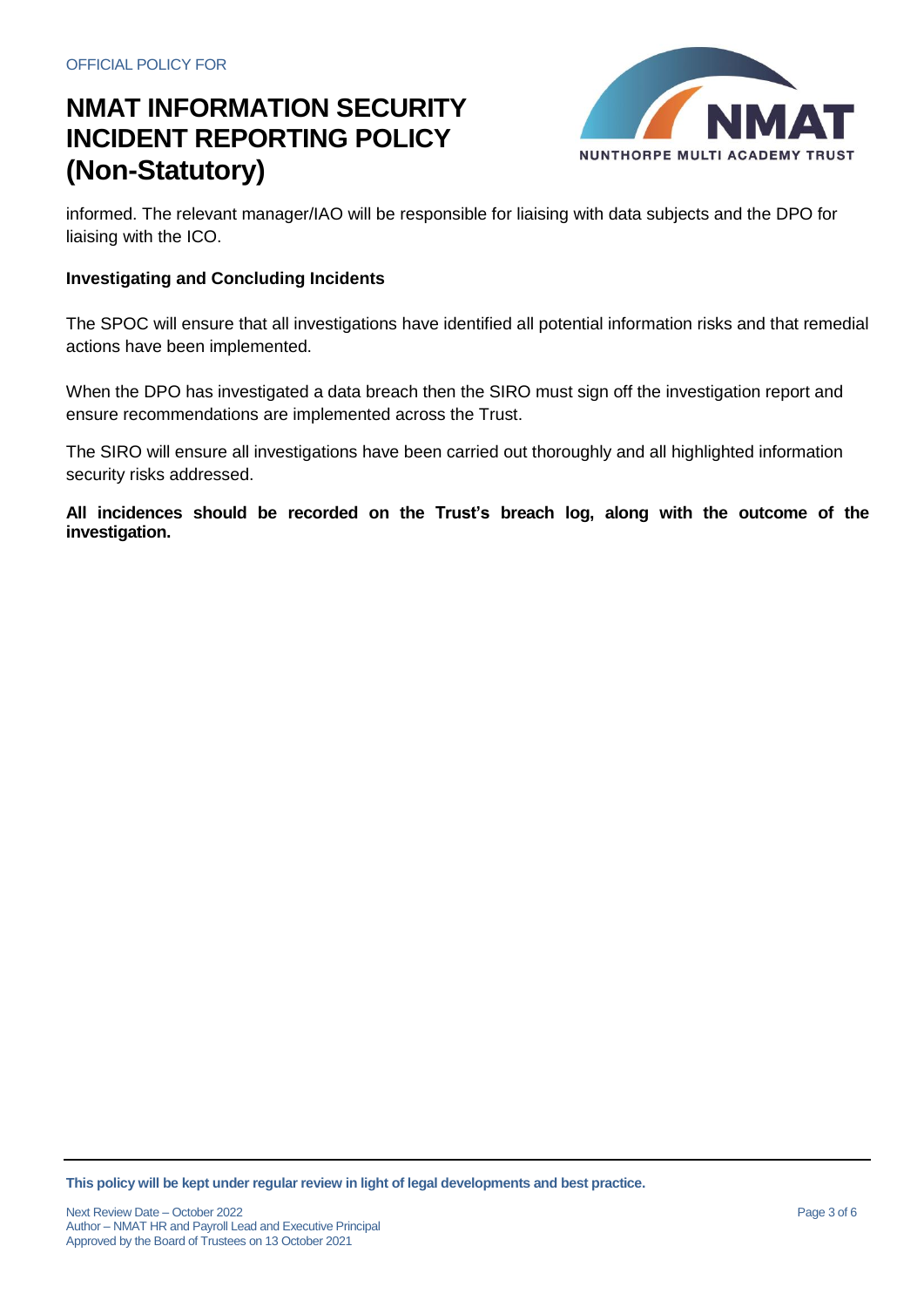

informed. The relevant manager/IAO will be responsible for liaising with data subjects and the DPO for liaising with the ICO.

#### **Investigating and Concluding Incidents**

The SPOC will ensure that all investigations have identified all potential information risks and that remedial actions have been implemented.

When the DPO has investigated a data breach then the SIRO must sign off the investigation report and ensure recommendations are implemented across the Trust.

The SIRO will ensure all investigations have been carried out thoroughly and all highlighted information security risks addressed.

**All incidences should be recorded on the Trust's breach log, along with the outcome of the investigation.**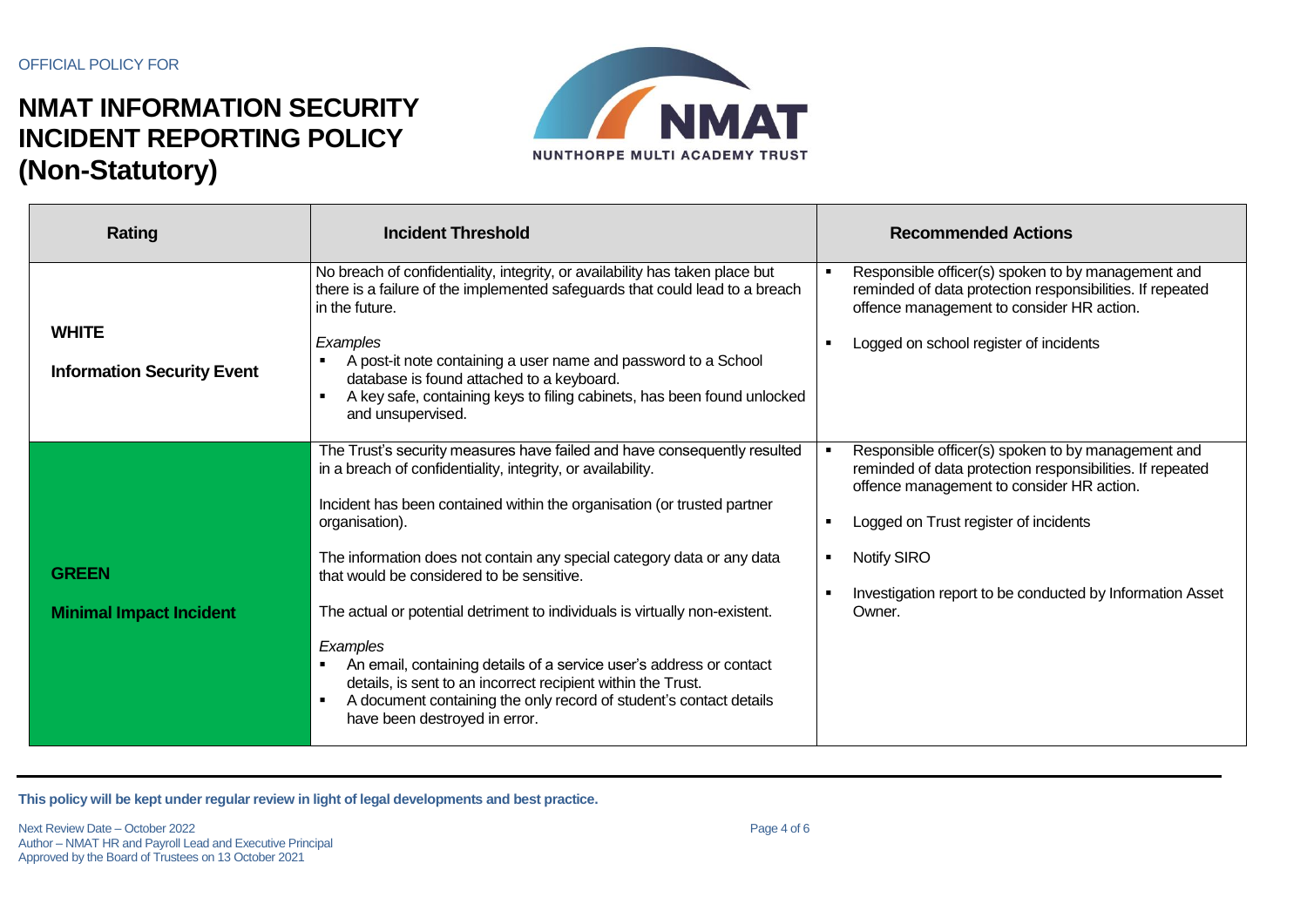

| <b>Rating</b>                                     | <b>Incident Threshold</b>                                                                                                                                                                                                                                                                                                                                                                                                                                                                                                                                                                                                                                                                            | <b>Recommended Actions</b>                                                                                                                                                                                                                                                                  |
|---------------------------------------------------|------------------------------------------------------------------------------------------------------------------------------------------------------------------------------------------------------------------------------------------------------------------------------------------------------------------------------------------------------------------------------------------------------------------------------------------------------------------------------------------------------------------------------------------------------------------------------------------------------------------------------------------------------------------------------------------------------|---------------------------------------------------------------------------------------------------------------------------------------------------------------------------------------------------------------------------------------------------------------------------------------------|
| <b>WHITE</b><br><b>Information Security Event</b> | No breach of confidentiality, integrity, or availability has taken place but<br>there is a failure of the implemented safeguards that could lead to a breach<br>in the future.<br>Examples<br>A post-it note containing a user name and password to a School<br>database is found attached to a keyboard.<br>A key safe, containing keys to filing cabinets, has been found unlocked<br>and unsupervised.                                                                                                                                                                                                                                                                                            | Responsible officer(s) spoken to by management and<br>reminded of data protection responsibilities. If repeated<br>offence management to consider HR action.<br>Logged on school register of incidents                                                                                      |
| <b>GREEN</b><br><b>Minimal Impact Incident</b>    | The Trust's security measures have failed and have consequently resulted<br>in a breach of confidentiality, integrity, or availability.<br>Incident has been contained within the organisation (or trusted partner<br>organisation).<br>The information does not contain any special category data or any data<br>that would be considered to be sensitive.<br>The actual or potential detriment to individuals is virtually non-existent.<br>Examples<br>An email, containing details of a service user's address or contact<br>details, is sent to an incorrect recipient within the Trust.<br>A document containing the only record of student's contact details<br>have been destroyed in error. | Responsible officer(s) spoken to by management and<br>reminded of data protection responsibilities. If repeated<br>offence management to consider HR action.<br>Logged on Trust register of incidents<br>Notify SIRO<br>Investigation report to be conducted by Information Asset<br>Owner. |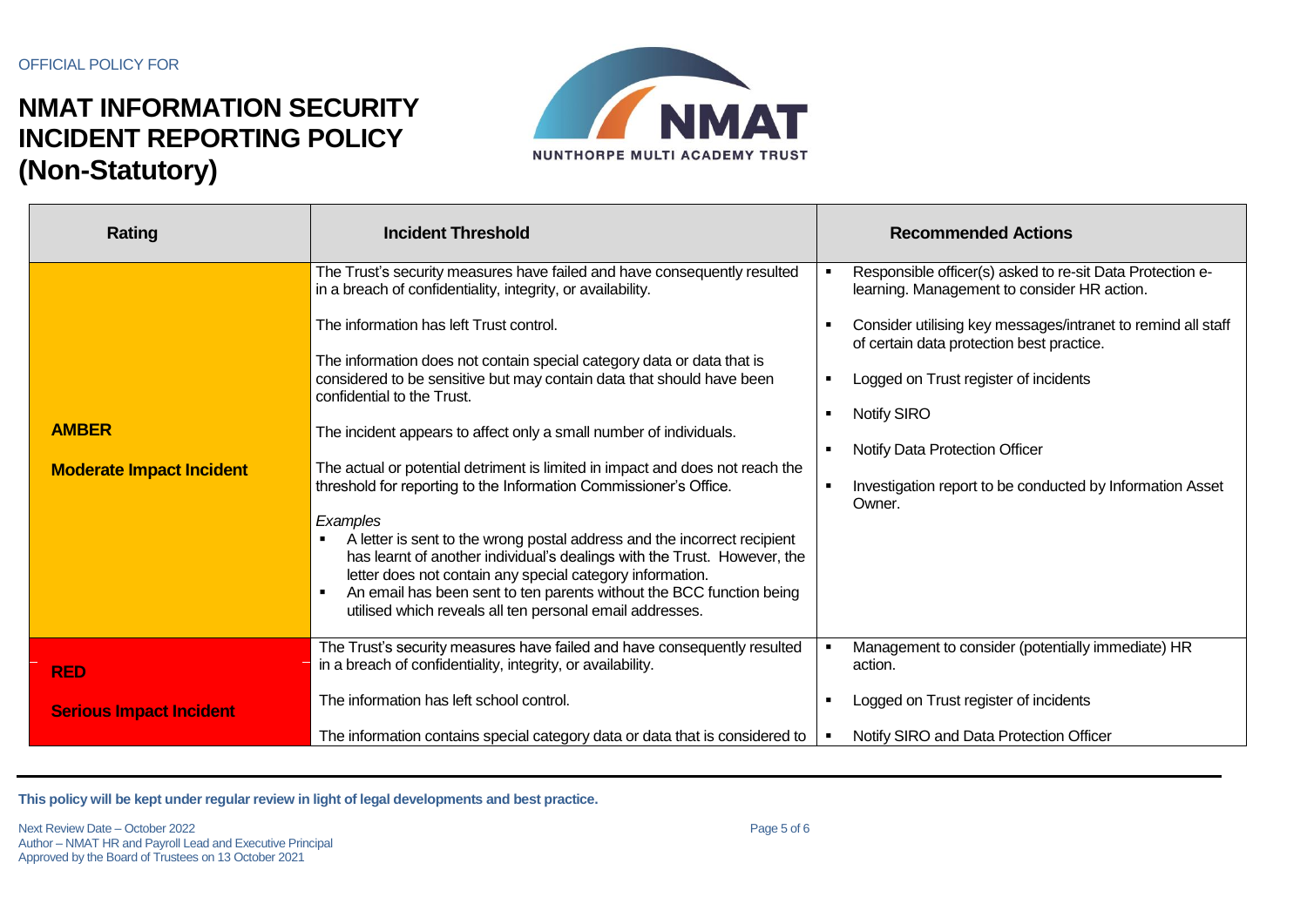

| Rating                          | <b>Incident Threshold</b>                                                                                                                                                                                                                                                                                                                                               | <b>Recommended Actions</b>                                                                                |
|---------------------------------|-------------------------------------------------------------------------------------------------------------------------------------------------------------------------------------------------------------------------------------------------------------------------------------------------------------------------------------------------------------------------|-----------------------------------------------------------------------------------------------------------|
|                                 | The Trust's security measures have failed and have consequently resulted<br>in a breach of confidentiality, integrity, or availability.                                                                                                                                                                                                                                 | Responsible officer(s) asked to re-sit Data Protection e-<br>learning. Management to consider HR action.  |
|                                 | The information has left Trust control.                                                                                                                                                                                                                                                                                                                                 | Consider utilising key messages/intranet to remind all staff<br>of certain data protection best practice. |
|                                 | The information does not contain special category data or data that is<br>considered to be sensitive but may contain data that should have been<br>confidential to the Trust.                                                                                                                                                                                           | Logged on Trust register of incidents                                                                     |
| <b>AMBER</b>                    | The incident appears to affect only a small number of individuals.                                                                                                                                                                                                                                                                                                      | <b>Notify SIRO</b>                                                                                        |
| <b>Moderate Impact Incident</b> | The actual or potential detriment is limited in impact and does not reach the<br>threshold for reporting to the Information Commissioner's Office.                                                                                                                                                                                                                      | Notify Data Protection Officer<br>Investigation report to be conducted by Information Asset<br>Owner.     |
|                                 | Examples<br>A letter is sent to the wrong postal address and the incorrect recipient<br>п.<br>has learnt of another individual's dealings with the Trust. However, the<br>letter does not contain any special category information.<br>An email has been sent to ten parents without the BCC function being<br>utilised which reveals all ten personal email addresses. |                                                                                                           |
| <b>RED</b>                      | The Trust's security measures have failed and have consequently resulted<br>in a breach of confidentiality, integrity, or availability.                                                                                                                                                                                                                                 | Management to consider (potentially immediate) HR<br>action.                                              |
| <b>Serious Impact Incident</b>  | The information has left school control.                                                                                                                                                                                                                                                                                                                                | Logged on Trust register of incidents                                                                     |
|                                 | The information contains special category data or data that is considered to                                                                                                                                                                                                                                                                                            | Notify SIRO and Data Protection Officer                                                                   |